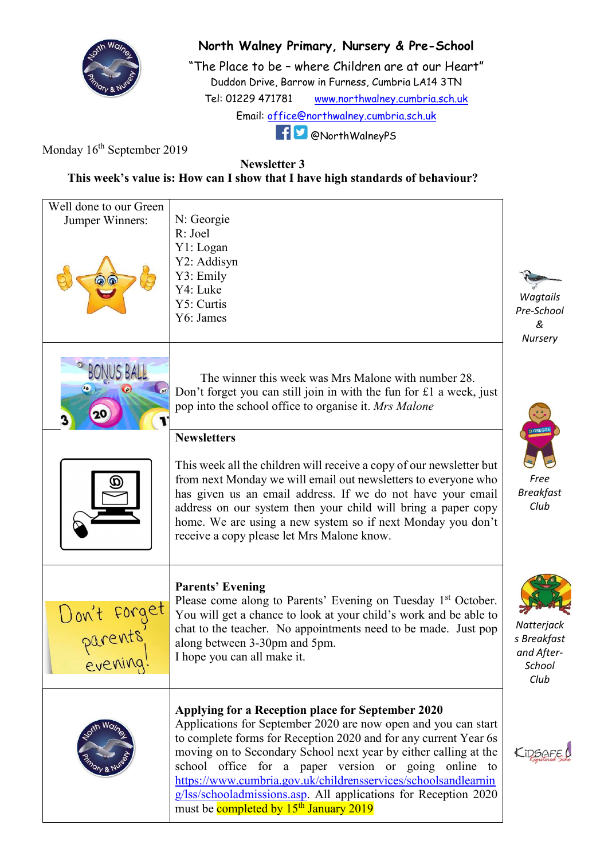

## North Walney Primary, Nursery & Pre-School

"The Place to be – where Children are at our Heart" Duddon Drive, Barrow in Furness, Cumbria LA14 3TN Tel: 01229 471781 www.northwalney.cumbria.sch.uk Email: office@northwalney.cumbria.sch.uk @NorthWalneyPS

Monday  $16<sup>th</sup>$  September 2019

Newsletter 3

This week's value is: How can I show that I have high standards of behaviour?

| Well done to our Green |                                                                                                                              |                          |
|------------------------|------------------------------------------------------------------------------------------------------------------------------|--------------------------|
| Jumper Winners:        | N: Georgie                                                                                                                   |                          |
|                        | R: Joel                                                                                                                      |                          |
|                        | Y1: Logan                                                                                                                    |                          |
|                        | Y2: Addisyn<br>Y3: Emily                                                                                                     |                          |
|                        | Y4: Luke                                                                                                                     |                          |
|                        | Y5: Curtis                                                                                                                   | Wagtails                 |
|                        | Y6: James                                                                                                                    | Pre-School               |
|                        |                                                                                                                              | &                        |
|                        |                                                                                                                              | Nursery                  |
|                        |                                                                                                                              |                          |
|                        | The winner this week was Mrs Malone with number 28.                                                                          |                          |
|                        | Don't forget you can still join in with the fun for $£1$ a week, just                                                        |                          |
|                        | pop into the school office to organise it. Mrs Malone                                                                        |                          |
| J.                     |                                                                                                                              |                          |
|                        | <b>Newsletters</b>                                                                                                           | <b>GREGO</b>             |
|                        |                                                                                                                              |                          |
|                        | This week all the children will receive a copy of our newsletter but                                                         |                          |
|                        | from next Monday we will email out newsletters to everyone who                                                               | Free                     |
|                        | has given us an email address. If we do not have your email                                                                  | <b>Breakfast</b><br>Club |
|                        | address on our system then your child will bring a paper copy<br>home. We are using a new system so if next Monday you don't |                          |
|                        | receive a copy please let Mrs Malone know.                                                                                   |                          |
|                        |                                                                                                                              |                          |
|                        |                                                                                                                              |                          |
|                        | <b>Parents' Evening</b>                                                                                                      |                          |
|                        | Please come along to Parents' Evening on Tuesday 1 <sup>st</sup> October.                                                    |                          |
| Uon't forget           | You will get a chance to look at your child's work and be able to                                                            |                          |
|                        | chat to the teacher. No appointments need to be made. Just pop                                                               | Natterjack               |
|                        | along between 3-30pm and 5pm.                                                                                                | s Breakfast              |
| evening:               | I hope you can all make it.                                                                                                  | and After-<br>School     |
|                        |                                                                                                                              | Club                     |
|                        |                                                                                                                              |                          |
|                        | Applying for a Reception place for September 2020                                                                            |                          |
|                        | Applications for September 2020 are now open and you can start                                                               |                          |
|                        | to complete forms for Reception 2020 and for any current Year 6s                                                             |                          |
|                        | moving on to Secondary School next year by either calling at the                                                             | KIDSAFE                  |
|                        | school office for a paper version or going online to                                                                         |                          |
|                        | https://www.cumbria.gov.uk/childrensservices/schoolsandlearnin                                                               |                          |
|                        | g/lss/schooladmissions.asp. All applications for Reception 2020                                                              |                          |
|                        | must be completed by 15 <sup>th</sup> January 2019                                                                           |                          |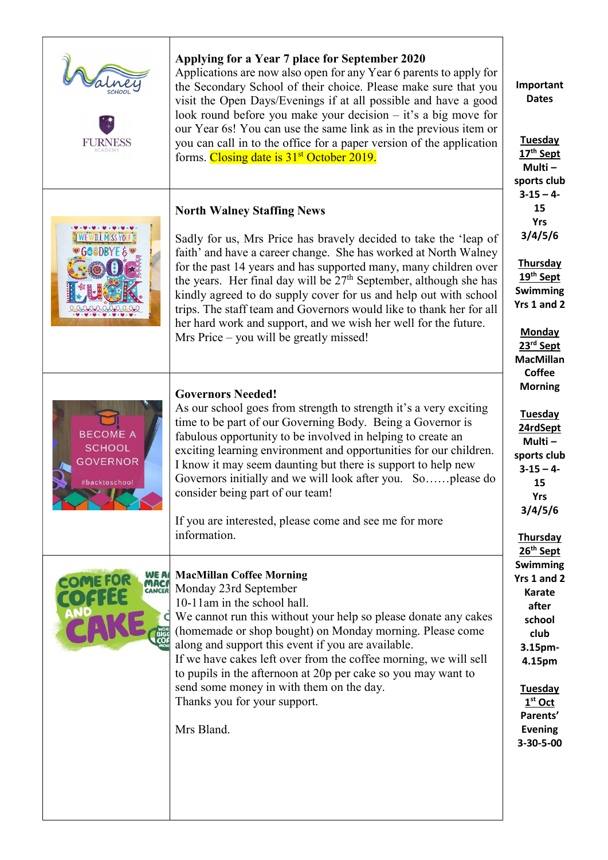| <b>FURNESS</b>                                                       | Applying for a Year 7 place for September 2020<br>Applications are now also open for any Year 6 parents to apply for<br>the Secondary School of their choice. Please make sure that you<br>visit the Open Days/Evenings if at all possible and have a good<br>look round before you make your decision $-$ it's a big move for<br>our Year 6s! You can use the same link as in the previous item or<br>you can call in to the office for a paper version of the application<br>forms. Closing date is 31 <sup>st</sup> October 2019.                                         | Important<br><b>Dates</b><br><b>Tuesday</b><br>17 <sup>th</sup> Sept<br>Multi-<br>sports club                                                                                     |
|----------------------------------------------------------------------|------------------------------------------------------------------------------------------------------------------------------------------------------------------------------------------------------------------------------------------------------------------------------------------------------------------------------------------------------------------------------------------------------------------------------------------------------------------------------------------------------------------------------------------------------------------------------|-----------------------------------------------------------------------------------------------------------------------------------------------------------------------------------|
| <b>WE WILL MISS YOU</b><br>●GOOBYF&                                  | <b>North Walney Staffing News</b><br>Sadly for us, Mrs Price has bravely decided to take the 'leap of<br>faith' and have a career change. She has worked at North Walney<br>for the past 14 years and has supported many, many children over<br>the years. Her final day will be $27th$ September, although she has<br>kindly agreed to do supply cover for us and help out with school<br>trips. The staff team and Governors would like to thank her for all<br>her hard work and support, and we wish her well for the future.<br>Mrs Price – you will be greatly missed! | $3 - 15 - 4$<br>15<br><b>Yrs</b><br>3/4/5/6<br>Thursday<br>19th Sept<br><b>Swimming</b><br>Yrs 1 and 2<br><b>Monday</b><br>23rd Sept<br><b>MacMillan</b>                          |
| <b>BECOME A</b><br><b>SCHOOL</b><br><b>GOVERNOR</b><br>#backtoschool | <b>Governors Needed!</b><br>As our school goes from strength to strength it's a very exciting<br>time to be part of our Governing Body. Being a Governor is<br>fabulous opportunity to be involved in helping to create an<br>exciting learning environment and opportunities for our children.<br>I know it may seem daunting but there is support to help new<br>Governors initially and we will look after you. Soplease do<br>consider being part of our team!<br>If you are interested, please come and see me for more<br>information.                                 | <b>Coffee</b><br><b>Morning</b><br><b>Tuesday</b><br>24rdSept<br>Multi-<br>sports club<br>$3 - 15 - 4$<br>15<br><b>Yrs</b><br>3/4/5/6<br><b>Thursday</b><br>26 <sup>th</sup> Sept |
| WE A<br><b>MACA</b><br>CANCER                                        | <b>MacMillan Coffee Morning</b><br>Monday 23rd September<br>10-11am in the school hall.<br>We cannot run this without your help so please donate any cakes<br>(homemade or shop bought) on Monday morning. Please come<br>along and support this event if you are available.<br>If we have cakes left over from the coffee morning, we will sell<br>to pupils in the afternoon at 20p per cake so you may want to<br>send some money in with them on the day.<br>Thanks you for your support.<br>Mrs Bland.                                                                  | Swimming<br>Yrs 1 and 2<br><b>Karate</b><br>after<br>school<br>club<br>3.15pm-<br>4.15pm<br><b>Tuesday</b><br>$1st$ Oct<br>Parents'<br><b>Evening</b><br>3-30-5-00                |